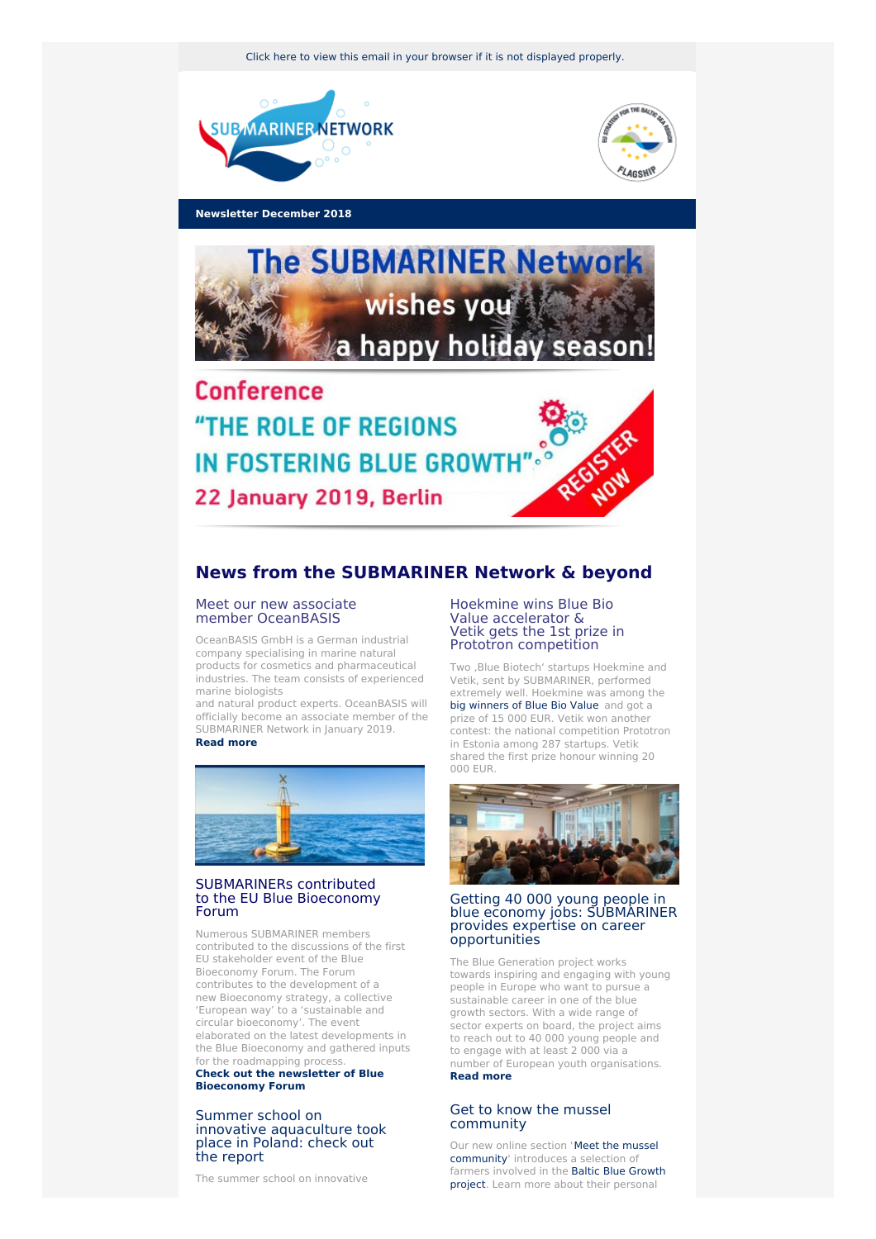Click here to view this email in your browser if it is not [displayed](http://www.newsletter-webversion.de/testmail/) properly.





**Newsletter December 2018**



"THE ROLE OF REGIONS **IN FOSTERING BLUE GROWTH"** 22 January 2019, Berlin

# **News from the SUBMARINER Network & beyond**

## Meet our new associate member [OceanBASIS](http://www.oceanbasis.de/en/ocean-basis/home/)

OceanBASIS GmbH is a German industrial company specialising in marine natural products for cosmetics and pharmaceutical industries. The team consists of experienced marine biologists

and natural product experts. OceanBASIS will officially become an associate member of the SUBMARINER Network in January 2019. **Read [more](http://www.oceanbasis.de/en/ocean-basis/home/)**



# [SUBMARINERs](https://www.submariner-network.eu/news/general-news/434-many-submariners-attended-the-eu-blue-bioeconomy-forum-amsterdam) contributed to the EU Blue Bioeconomy Forum

Numerous SUBMARINER members contributed to the discussions of the first EU stakeholder event of the Blue Bioeconomy Forum. The Forum contributes to the development of a new Bioeconomy strategy, a collective 'European way' to a 'sustainable and circular bioeconomy'. The event elaborated on the latest developments in the Blue Bioeconomy and gathered inputs for the roadmapping process.

**Check out the newsletter of Blue [Bioeconomy](https://ec.europa.eu/newsroom/bluebioecoforum/newsletter-specific-archive-issue.cfm?newsletter_service_id=1052&lang=default) Forum**

### Summer school on innovative [aquaculture](https://www.submariner-network.eu/projects/innoaquatech/innoaquatech-news/393-moving-towards-sustainable-crustacean-farming-a-summer-school-on-white-leg-shrimp-in-poland) took place in Poland: check out the report

The summer school on innovative

## Hoekmine wins Blue Bio Value accelerator & Vetik gets the 1st prize in Prototron competition

Two , Blue Biotech' startups Hoekmine and Vetik, sent by SUBMARINER, performed extremely well. Hoekmine was among the big [winners](https://www.bluebiovalue.pt/startups ) of Blue Bio Value and got a prize of 15 000 EUR. Vetik won another contest: the national competition Prototron in Estonia among 287 startups. Vetik shared the first prize honour winning 20 000 EUR.



#### Getting 40 000 young people in blue economy jobs: [SUBMARINER](https://www.submariner-network.eu/news/general-news/437-getting-40-000-young-people-in-blue-economy-jobs) provides expertise on career opportunities

The Blue Generation project works towards inspiring and engaging with young people in Europe who want to pursue a sustainable career in one of the blue growth sectors. With a wide range of sector experts on board, the project aims to reach out to 40 000 young people and to engage with at least 2 000 via a number of European youth organisations. **[Read](https://www.submariner-network.eu/news/general-news/437-getting-40-000-young-people-in-blue-economy-jobs) more**

# Get to know the mussel [community](https://www.submariner-network.eu/projects/balticbluegrowth/meet-the-mussel-community)

Our new online section 'Meet the mussel [community'](https://www.submariner-network.eu/projects/balticbluegrowth/meet-the-mussel-community) introduces a selection of farmers involved in the Baltic Blue Growth project. Learn more about their [personal](https://www.submariner-network.eu/projects/balticbluegrowth)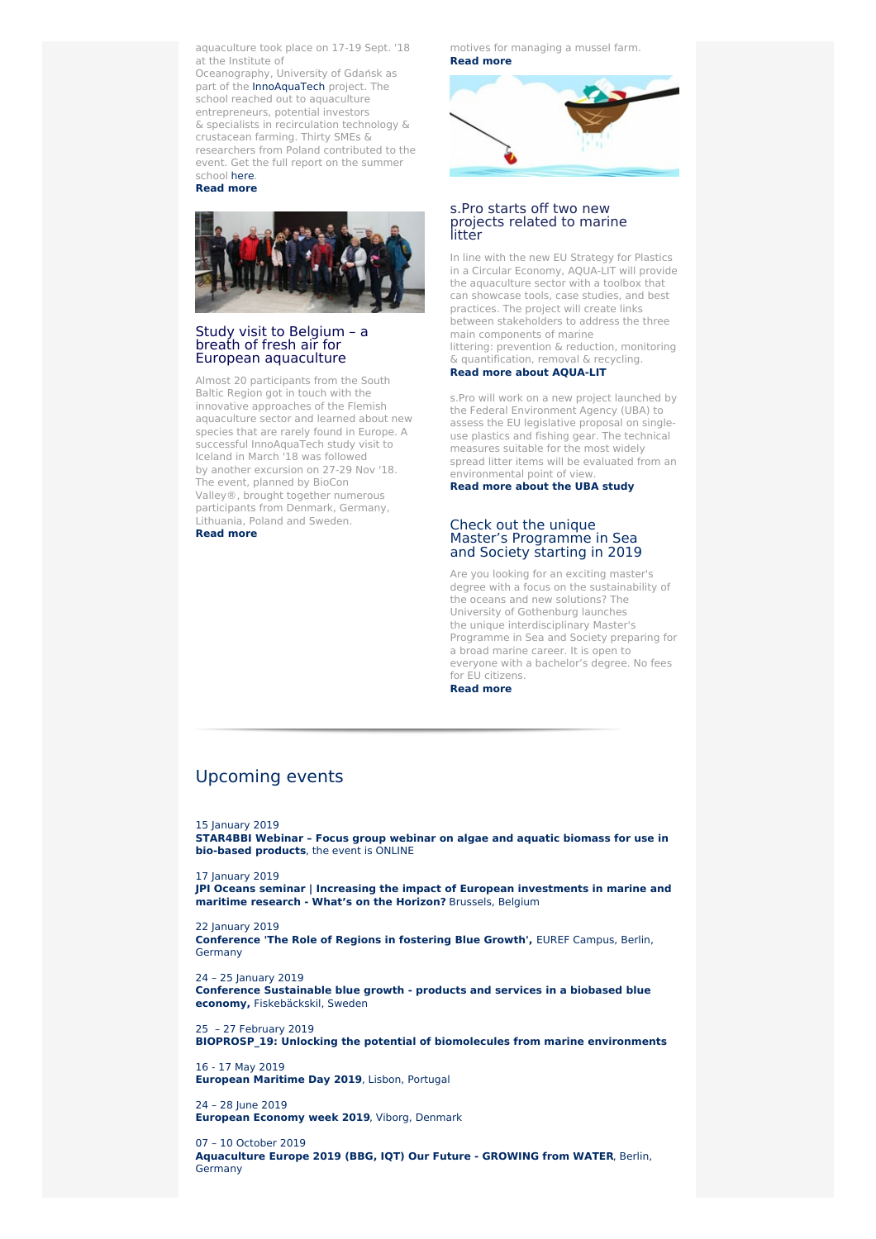aquaculture took place on 17-19 Sept. '18 at the Institute of

Oceanography, University of Gdańsk as part of the [InnoAquaTech](https://www.submariner-network.eu/projects/innoaquatech) project. The school reached out to aquaculture entrepreneurs, potential investors & specialists in recirculation technology & crustacean farming. Thirty SMEs & researchers from Poland contributed to the event. Get the full report on the summer school [here](https://www.submariner-network.eu/images/projects/innoaquatech/Images/summer_school_report_final.pdf). **[Read](https://www.submariner-network.eu/projects/innoaquatech/innoaquatech-news/393-moving-towards-sustainable-crustacean-farming-a-summer-school-on-white-leg-shrimp-in-poland) more**



### Study visit to Belgium – a breath of fresh air for European [aquaculture](https://www.submariner-network.eu/projects/innoaquatech/innoaquatech-news/422-innoaquatech-study-visit-to-belgium-a-breath-of-fresh-air-for-european-aquaculture)

Almost 20 participants from the South Baltic Region got in touch with the innovative approaches of the Flemish aquaculture sector and learned about new species that are rarely found in Europe. A successful InnoAquaTech study visit to Iceland in March '18 was followed by another excursion on 27-29 Nov '18. The event, planned by BioCon Valley®, brought together numerous participants from Denmark, Germany, .<br>Lithuania, Poland and Sweden. **[Read](https://www.submariner-network.eu/projects/innoaquatech/innoaquatech-news/422-innoaquatech-study-visit-to-belgium-a-breath-of-fresh-air-for-european-aquaculture) more**

motives for managing a mussel farm. **[Read](https://www.submariner-network.eu/projects/balticbluegrowth/meet-the-mussel-community) more**



## s.Pro starts off two new projects related to marine litter

In line with the new EU Strategy for Plastics in a Circular Economy, AQUA-LIT will provide the aquaculture sector with a toolbox that can showcase tools, case studies, and best practices. The project will create links between stakeholders to address the three main components of marine littering: prevention & reduction, monitoring & quantification, removal & recycling.

# **Read more about [AQUA-LIT](https://www.submariner-network.eu/news/general-news/431-new-project-aqua-lit-preventive-measures-for-averting-the-discarding-of-litter-in-the-marine-environment-from-the-aquaculture-industry)**

s.Pro will work on a new project launched by the Federal Environment Agency (UBA) to assess the EU legislative proposal on singleuse plastics and fishing gear. The technical measures suitable for the most widely spread litter items will be evaluated from an environmental point of view.

**Read more [about](https://www.submariner-network.eu/news/general-news/429-a-new-study-will-look-into-the-assessment-of-the-eu-legislative-proposal-on-single-use-plastics-and-fishing-gear) the UBA study**

## Check out the unique Master's [Programme](https://www.submariner-network.eu/news/general-news/423-ugot) in Sea and Society starting in 2019

Are you looking for an exciting master's degree with a focus on the sustainability of the oceans and new solutions? The University of Gothenburg launches the unique interdisciplinary Master's Programme in Sea and Society preparing for a broad marine career. It is open to everyone with a bachelor's degree. No fees for EU citizens. **[Read](https://www.submariner-network.eu/news/general-news/423-ugot) more**

# [Upcoming](https://www.submariner-network.eu/events) events

15 [January](https://www.submariner-network.eu/events/160-star4bbi-webinar-focus-group-webinar-on-algae-and-aquatic-biomass-for-use-in-bio-based-products) 2019

**[STAR4BBI](https://www.submariner-network.eu/events/160-star4bbi-webinar-focus-group-webinar-on-algae-and-aquatic-biomass-for-use-in-bio-based-products) Webinar – Focus group webinar on algae and aquatic biomass for use in bio-based products**, the event is ONLINE

17 **[January](https://www.submariner-network.eu/events/158-jpi-oceans-seminar-increasing-the-impact-of-european-investments-in-marine-and-maritime-research-what-s-on-the-horizon) 2019 JPI Oceans seminar | Increasing the impact of European [investments](https://www.submariner-network.eu/events/158-jpi-oceans-seminar-increasing-the-impact-of-european-investments-in-marine-and-maritime-research-what-s-on-the-horizon) in marine and maritime research - What's on the Horizon?** Brussels, Belgium

22 [January](https://www.submariner-network.eu/events/150-the-role-of-regions-in-fostering-blue-growth) 2019

**[Conference](https://www.submariner-network.eu/events/150-the-role-of-regions-in-fostering-blue-growth) 'The Role of Regions in fostering Blue Growth',** EUREF Campus, Berlin, Germany

24 – 25 [January](https://www.submariner-network.eu/events/163-maritime-cluster-of-west-sweden-sustainable-blue-growth-products-and-services-in-a-biobased-blue-economy) 2019 **Conference Sustainable blue growth - products and services in a biobased blue economy,** [Fiskebäckskil,](https://www.submariner-network.eu/events/163-maritime-cluster-of-west-sweden-sustainable-blue-growth-products-and-services-in-a-biobased-blue-economy) Sweden

25 – 27 [February](https://www.submariner-network.eu/events/164-bioprosp-19-unlocking-the-potential-of-biomolecules-from-marine-environments) 2019 **[BIOPROSP\\_19:](https://www.submariner-network.eu/events/164-bioprosp-19-unlocking-the-potential-of-biomolecules-from-marine-environments) Unlocking the potential of biomolecules from marine environments**

16 - 17 May [2019](https://www.submariner-network.eu/events/155-european-maritime-day-2019) **[European](https://www.submariner-network.eu/events/155-european-maritime-day-2019) Maritime Day 2019**, Lisbon, Portugal

24 – 28 June [2019](https://www.submariner-network.eu/events/126-1st-seaweed-for-health-conference-2) **[European](https://www.submariner-network.eu/events/126-1st-seaweed-for-health-conference-2) Economy week 2019**, Viborg, Denmark

07 – 10 [October](https://www.submariner-network.eu/events/162-aquaculture-europe-2019-bbg-iqt-our-future-growing-from-water) 2019 **[Aquaculture](https://www.submariner-network.eu/events/162-aquaculture-europe-2019-bbg-iqt-our-future-growing-from-water) Europe 2019 (BBG, IQT) Our Future - GROWING from WATER**, Berlin, **Germany**